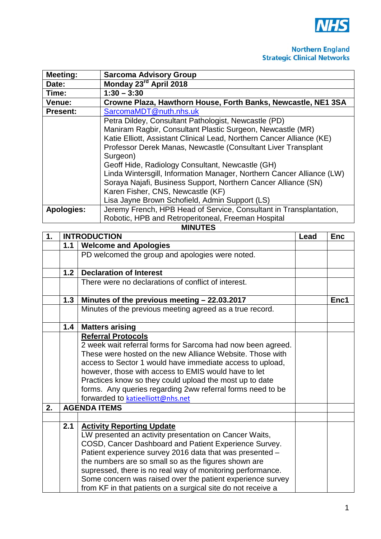

## **Northern England**<br>Strategic Clinical Networks

| <b>Meeting:</b>                           | <b>Sarcoma Advisory Group</b>                                         |  |  |
|-------------------------------------------|-----------------------------------------------------------------------|--|--|
| Date:                                     | Monday 23 <sup>rd</sup> April 2018                                    |  |  |
| Time:                                     | $1:30 - 3:30$                                                         |  |  |
| Venue:                                    | Crowne Plaza, Hawthorn House, Forth Banks, Newcastle, NE1 3SA         |  |  |
| SarcomaMDT@nuth.nhs.uk<br><b>Present:</b> |                                                                       |  |  |
|                                           | Petra Dildey, Consultant Pathologist, Newcastle (PD)                  |  |  |
|                                           | Maniram Ragbir, Consultant Plastic Surgeon, Newcastle (MR)            |  |  |
|                                           | Katie Elliott, Assistant Clinical Lead, Northern Cancer Alliance (KE) |  |  |
|                                           | Professor Derek Manas, Newcastle (Consultant Liver Transplant         |  |  |
|                                           | Surgeon)                                                              |  |  |
|                                           | Geoff Hide, Radiology Consultant, Newcastle (GH)                      |  |  |
|                                           | Linda Wintersgill, Information Manager, Northern Cancer Alliance (LW) |  |  |
|                                           | Soraya Najafi, Business Support, Northern Cancer Alliance (SN)        |  |  |
|                                           | Karen Fisher, CNS, Newcastle (KF)                                     |  |  |
|                                           | Lisa Jayne Brown Schofield, Admin Support (LS)                        |  |  |
| <b>Apologies:</b>                         | Jeremy French, HPB Head of Service, Consultant in Transplantation,    |  |  |
|                                           | Robotic, HPB and Retroperitoneal, Freeman Hospital                    |  |  |

## **MINUTES**

| 1. |                     | <b>INTRODUCTION</b><br>Lead                                  |  | <b>Enc</b> |
|----|---------------------|--------------------------------------------------------------|--|------------|
|    | 1.1                 | <b>Welcome and Apologies</b>                                 |  |            |
|    |                     | PD welcomed the group and apologies were noted.              |  |            |
|    | 1.2                 | <b>Declaration of Interest</b>                               |  |            |
|    |                     | There were no declarations of conflict of interest.          |  |            |
|    | 1.3                 | Minutes of the previous meeting - 22.03.2017                 |  | Enc1       |
|    |                     | Minutes of the previous meeting agreed as a true record.     |  |            |
|    | 1.4                 | <b>Matters arising</b>                                       |  |            |
|    |                     | <b>Referral Protocols</b>                                    |  |            |
|    |                     | 2 week wait referral forms for Sarcoma had now been agreed.  |  |            |
|    |                     | These were hosted on the new Alliance Website. Those with    |  |            |
|    |                     | access to Sector 1 would have immediate access to upload,    |  |            |
|    |                     | however, those with access to EMIS would have to let         |  |            |
|    |                     | Practices know so they could upload the most up to date      |  |            |
|    |                     | forms. Any queries regarding 2ww referral forms need to be   |  |            |
|    |                     | forwarded to katieelliott@nhs.net                            |  |            |
| 2. | <b>AGENDA ITEMS</b> |                                                              |  |            |
|    |                     |                                                              |  |            |
|    | 2.1                 | <b>Activity Reporting Update</b>                             |  |            |
|    |                     | LW presented an activity presentation on Cancer Waits,       |  |            |
|    |                     | COSD, Cancer Dashboard and Patient Experience Survey.        |  |            |
|    |                     | Patient experience survey 2016 data that was presented -     |  |            |
|    |                     | the numbers are so small so as the figures shown are         |  |            |
|    |                     | supressed, there is no real way of monitoring performance.   |  |            |
|    |                     | Some concern was raised over the patient experience survey   |  |            |
|    |                     | from KF in that patients on a surgical site do not receive a |  |            |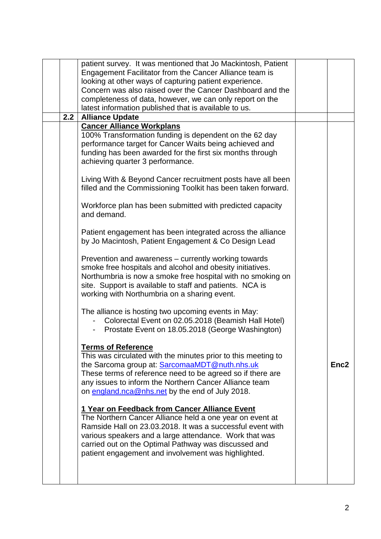|  |     | patient survey. It was mentioned that Jo Mackintosh, Patient<br>Engagement Facilitator from the Cancer Alliance team is<br>looking at other ways of capturing patient experience.<br>Concern was also raised over the Cancer Dashboard and the<br>completeness of data, however, we can only report on the<br>latest information published that is available to us. |                  |
|--|-----|---------------------------------------------------------------------------------------------------------------------------------------------------------------------------------------------------------------------------------------------------------------------------------------------------------------------------------------------------------------------|------------------|
|  | 2.2 | <b>Alliance Update</b>                                                                                                                                                                                                                                                                                                                                              |                  |
|  |     | <b>Cancer Alliance Workplans</b><br>100% Transformation funding is dependent on the 62 day<br>performance target for Cancer Waits being achieved and<br>funding has been awarded for the first six months through<br>achieving quarter 3 performance.                                                                                                               |                  |
|  |     | Living With & Beyond Cancer recruitment posts have all been<br>filled and the Commissioning Toolkit has been taken forward.                                                                                                                                                                                                                                         |                  |
|  |     | Workforce plan has been submitted with predicted capacity<br>and demand.                                                                                                                                                                                                                                                                                            |                  |
|  |     | Patient engagement has been integrated across the alliance<br>by Jo Macintosh, Patient Engagement & Co Design Lead                                                                                                                                                                                                                                                  |                  |
|  |     | Prevention and awareness – currently working towards<br>smoke free hospitals and alcohol and obesity initiatives.<br>Northumbria is now a smoke free hospital with no smoking on<br>site. Support is available to staff and patients. NCA is<br>working with Northumbria on a sharing event.                                                                        |                  |
|  |     | The alliance is hosting two upcoming events in May:<br>Colorectal Event on 02.05.2018 (Beamish Hall Hotel)<br>Prostate Event on 18.05.2018 (George Washington)                                                                                                                                                                                                      |                  |
|  |     | <b>Terms of Reference</b><br>This was circulated with the minutes prior to this meeting to<br>the Sarcoma group at: SarcomaaMDT@nuth.nhs.uk<br>These terms of reference need to be agreed so if there are<br>any issues to inform the Northern Cancer Alliance team<br>on england.nca@nhs.net by the end of July 2018.                                              | Enc <sub>2</sub> |
|  |     | 1 Year on Feedback from Cancer Alliance Event<br>The Northern Cancer Alliance held a one year on event at<br>Ramside Hall on 23.03.2018. It was a successful event with<br>various speakers and a large attendance. Work that was<br>carried out on the Optimal Pathway was discussed and<br>patient engagement and involvement was highlighted.                    |                  |
|  |     |                                                                                                                                                                                                                                                                                                                                                                     |                  |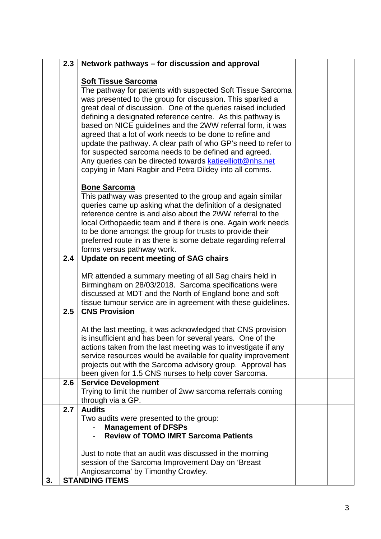|    | 2.3 | Network pathways – for discussion and approval                                                                                                                                                                                                                                                                                                                                                                                                                                                                                                                                                                                                                  |  |
|----|-----|-----------------------------------------------------------------------------------------------------------------------------------------------------------------------------------------------------------------------------------------------------------------------------------------------------------------------------------------------------------------------------------------------------------------------------------------------------------------------------------------------------------------------------------------------------------------------------------------------------------------------------------------------------------------|--|
|    |     | <b>Soft Tissue Sarcoma</b><br>The pathway for patients with suspected Soft Tissue Sarcoma<br>was presented to the group for discussion. This sparked a<br>great deal of discussion. One of the queries raised included<br>defining a designated reference centre. As this pathway is<br>based on NICE guidelines and the 2WW referral form, it was<br>agreed that a lot of work needs to be done to refine and<br>update the pathway. A clear path of who GP's need to refer to<br>for suspected sarcoma needs to be defined and agreed.<br>Any queries can be directed towards katieelliott@nhs.net<br>copying in Mani Ragbir and Petra Dildey into all comms. |  |
|    |     | <b>Bone Sarcoma</b><br>This pathway was presented to the group and again similar<br>queries came up asking what the definition of a designated<br>reference centre is and also about the 2WW referral to the<br>local Orthopaedic team and if there is one. Again work needs<br>to be done amongst the group for trusts to provide their<br>preferred route in as there is some debate regarding referral<br>forms versus pathway work.                                                                                                                                                                                                                         |  |
|    | 2.4 | Update on recent meeting of SAG chairs                                                                                                                                                                                                                                                                                                                                                                                                                                                                                                                                                                                                                          |  |
|    |     | MR attended a summary meeting of all Sag chairs held in<br>Birmingham on 28/03/2018. Sarcoma specifications were<br>discussed at MDT and the North of England bone and soft<br>tissue tumour service are in agreement with these guidelines.                                                                                                                                                                                                                                                                                                                                                                                                                    |  |
|    | 2.5 | <b>CNS Provision</b>                                                                                                                                                                                                                                                                                                                                                                                                                                                                                                                                                                                                                                            |  |
|    |     | At the last meeting, it was acknowledged that CNS provision<br>is insufficient and has been for several years. One of the<br>actions taken from the last meeting was to investigate if any<br>service resources would be available for quality improvement<br>projects out with the Sarcoma advisory group. Approval has<br>been given for 1.5 CNS nurses to help cover Sarcoma.                                                                                                                                                                                                                                                                                |  |
|    | 2.6 | <b>Service Development</b><br>Trying to limit the number of 2ww sarcoma referrals coming<br>through via a GP.                                                                                                                                                                                                                                                                                                                                                                                                                                                                                                                                                   |  |
|    | 2.7 | <b>Audits</b><br>Two audits were presented to the group:<br><b>Management of DFSPs</b><br><b>Review of TOMO IMRT Sarcoma Patients</b><br>Just to note that an audit was discussed in the morning                                                                                                                                                                                                                                                                                                                                                                                                                                                                |  |
| 3. |     | session of the Sarcoma Improvement Day on 'Breast<br>Angiosarcoma' by Timonthy Crowley.<br><b>STANDING ITEMS</b>                                                                                                                                                                                                                                                                                                                                                                                                                                                                                                                                                |  |
|    |     |                                                                                                                                                                                                                                                                                                                                                                                                                                                                                                                                                                                                                                                                 |  |